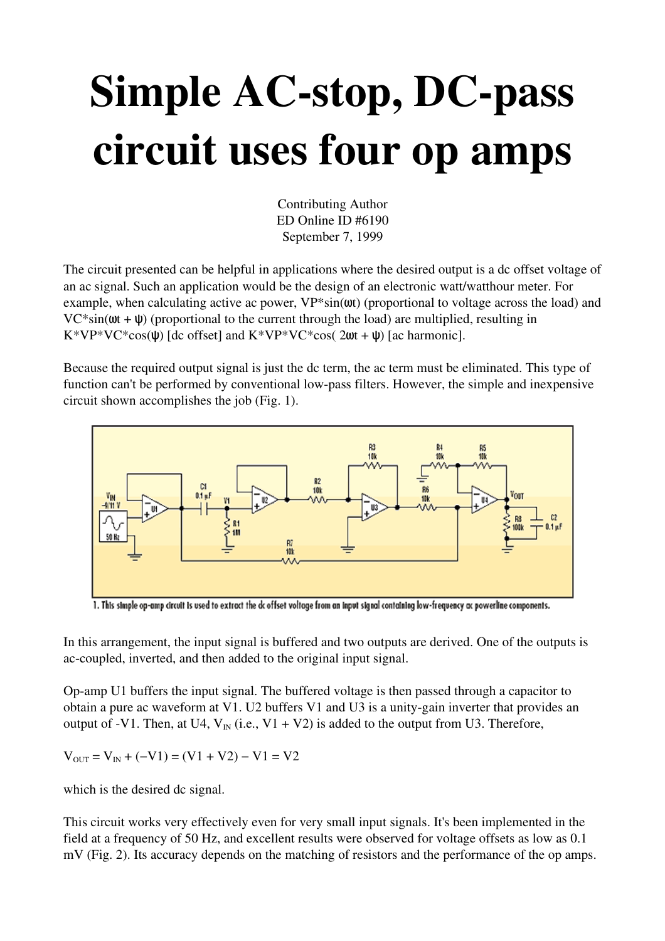## Simple AC-stop, DC-pass circuit uses four op amps

Contributing Author ED Online ID #6190 September 7, 1999

The circuit presented can be helpful in applications where the desired output is a dc offset voltage of an ac signal. Such an application would be the design of an electronic watt/watthour meter. For example, when calculating active ac power,  $VP*sin(\omega t)$  (proportional to voltage across the load) and  $VC*sin(\omega t + \psi)$  (proportional to the current through the load) are multiplied, resulting in  $K*VP*VC*cos(\psi)$  [dc offset] and  $K*VP*VC*cos(2\omega t + \psi)$  [ac harmonic].

Because the required output signal is just the dc term, the ac term must be eliminated. This type of function can't be performed by conventional low-pass filters. However, the simple and inexpensive circuit shown accomplishes the job (Fig. 1).



1. This simple op-amp circuit is used to extract the dc offset voltage from an input signal containing low-frequency ac powerline components.

In this arrangement, the input signal is buffered and two outputs are derived. One of the outputs is ac-coupled, inverted, and then added to the original input signal.

Op-amp U1 buffers the input signal. The buffered voltage is then passed through a capacitor to obtain a pure ac waveform at V1. U2 buffers V1 and U3 is a unity-gain inverter that provides an output of -V1. Then, at U4,  $V_{IN}$  (i.e., V1 + V2) is added to the output from U3. Therefore,

 $V_{\text{OUT}} = V_{\text{IN}} + (-V1) = (V1 + V2) - V1 = V2$ 

which is the desired dc signal.

This circuit works very effectively even for very small input signals. It's been implemented in the field at a frequency of 50 Hz, and excellent results were observed for voltage offsets as low as 0.1 mV (Fig. 2). Its accuracy depends on the matching of resistors and the performance of the op amps.